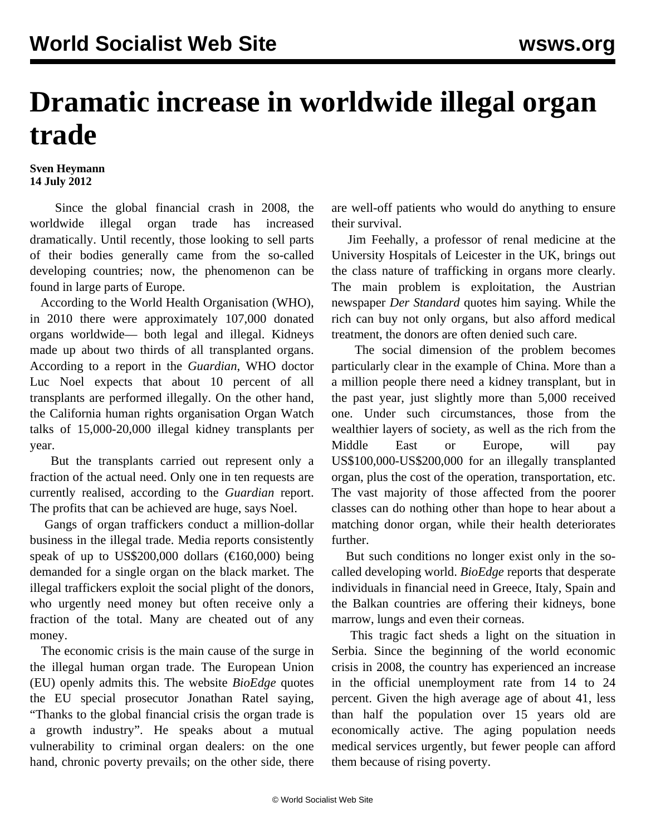## **Dramatic increase in worldwide illegal organ trade**

## **Sven Heymann 14 July 2012**

 Since the global financial crash in 2008, the worldwide illegal organ trade has increased dramatically. Until recently, those looking to sell parts of their bodies generally came from the so-called developing countries; now, the phenomenon can be found in large parts of Europe.

 According to the World Health Organisation (WHO), in 2010 there were approximately 107,000 donated organs worldwide— both legal and illegal. Kidneys made up about two thirds of all transplanted organs. According to a report in the *Guardian*, WHO doctor Luc Noel expects that about 10 percent of all transplants are performed illegally. On the other hand, the California human rights organisation Organ Watch talks of 15,000-20,000 illegal kidney transplants per year.

 But the transplants carried out represent only a fraction of the actual need. Only one in ten requests are currently realised, according to the *Guardian* report. The profits that can be achieved are huge, says Noel.

 Gangs of organ traffickers conduct a million-dollar business in the illegal trade. Media reports consistently speak of up to US\$200,000 dollars ( $\epsilon$ 160,000) being demanded for a single organ on the black market. The illegal traffickers exploit the social plight of the donors, who urgently need money but often receive only a fraction of the total. Many are cheated out of any money.

 The economic crisis is the main cause of the surge in the illegal human organ trade. The European Union (EU) openly admits this. The website *BioEdge* quotes the EU special prosecutor Jonathan Ratel saying, "Thanks to the global financial crisis the organ trade is a growth industry". He speaks about a mutual vulnerability to criminal organ dealers: on the one hand, chronic poverty prevails; on the other side, there are well-off patients who would do anything to ensure their survival.

 Jim Feehally, a professor of renal medicine at the University Hospitals of Leicester in the UK, brings out the class nature of trafficking in organs more clearly. The main problem is exploitation, the Austrian newspaper *Der Standard* quotes him saying. While the rich can buy not only organs, but also afford medical treatment, the donors are often denied such care.

 The social dimension of the problem becomes particularly clear in the example of China. More than a a million people there need a kidney transplant, but in the past year, just slightly more than 5,000 received one. Under such circumstances, those from the wealthier layers of society, as well as the rich from the Middle East or Europe, will pay US\$100,000-US\$200,000 for an illegally transplanted organ, plus the cost of the operation, transportation, etc. The vast majority of those affected from the poorer classes can do nothing other than hope to hear about a matching donor organ, while their health deteriorates further.

 But such conditions no longer exist only in the socalled developing world. *BioEdge* reports that desperate individuals in financial need in Greece, Italy, Spain and the Balkan countries are offering their kidneys, bone marrow, lungs and even their corneas.

 This tragic fact sheds a light on the situation in Serbia. Since the beginning of the world economic crisis in 2008, the country has experienced an increase in the official unemployment rate from 14 to 24 percent. Given the high average age of about 41, less than half the population over 15 years old are economically active. The aging population needs medical services urgently, but fewer people can afford them because of rising poverty.